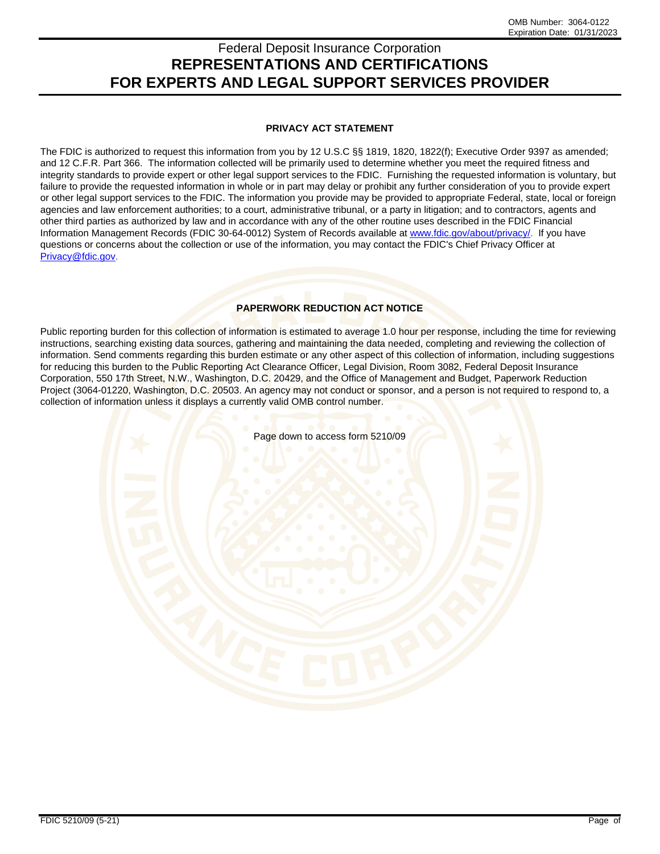# Federal Deposit Insurance Corporation **REPRESENTATIONS AND CERTIFICATIONS FOR EXPERTS AND LEGAL SUPPORT SERVICES PROVIDER**

# **PRIVACY ACT STATEMENT**

The FDIC is authorized to request this information from you by 12 U.S.C §§ 1819, 1820, 1822(f); Executive Order 9397 as amended; and 12 C.F.R. Part 366. The information collected will be primarily used to determine whether you meet the required fitness and integrity standards to provide expert or other legal support services to the FDIC. Furnishing the requested information is voluntary, but failure to provide the requested information in whole or in part may delay or prohibit any further consideration of you to provide expert or other legal support services to the FDIC. The information you provide may be provided to appropriate Federal, state, local or foreign agencies and law enforcement authorities; to a court, administrative tribunal, or a party in litigation; and to contractors, agents and other third parties as authorized by law and in accordance with any of the other routine uses described in the FDIC Financial Information Management Records (FDIC 30-64-0012) System of Records available at www.fdic.gov/about/privacy/. If you have questions or concerns about the collection or use of the information, you may contact the FDIC's Chief Privacy Officer at Privacy@fdic.gov.

# **PAPERWORK REDUCTION ACT NOTICE**

Public reporting burden for this collection of information is estimated to average 1.0 hour per response, including the time for reviewing instructions, searching existing data sources, gathering and maintaining the data needed, completing and reviewing the collection of information. Send comments regarding this burden estimate or any other aspect of this collection of information, including suggestions for reducing this burden to the Public Reporting Act Clearance Officer, Legal Division, Room 3082, Federal Deposit Insurance Corporation, 550 17th Street, N.W., Washington, D.C. 20429, and the Office of Management and Budget, Paperwork Reduction Project (3064-01220, Washington, D.C. 20503. An agency may not conduct or sponsor, and a person is not required to respond to, a collection of information unless it displays a currently valid OMB control number.

Page down to access form 5210/09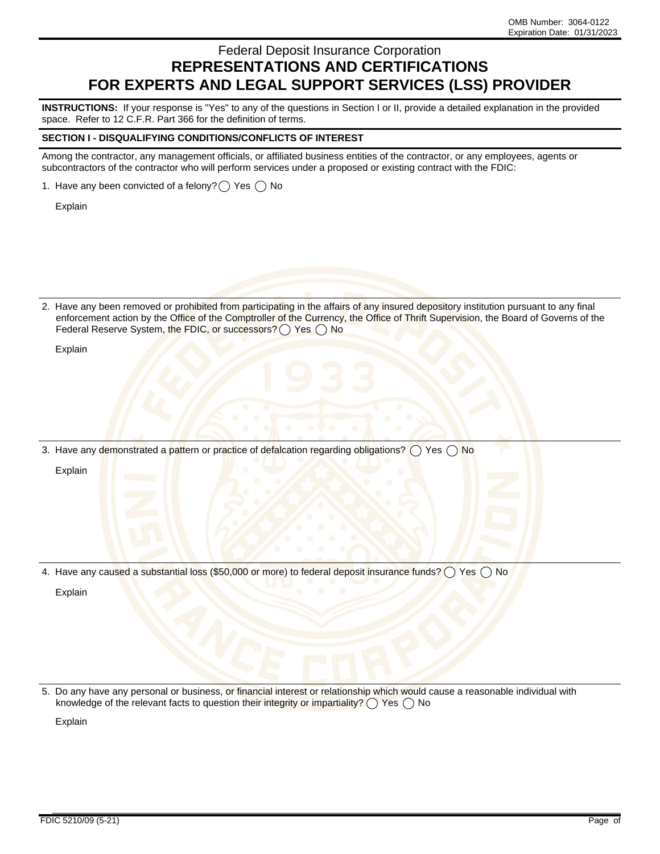# Federal Deposit Insurance Corporation **REPRESENTATIONS AND CERTIFICATIONS FOR EXPERTS AND LEGAL SUPPORT SERVICES (LSS) PROVIDER**

**INSTRUCTIONS:** If your response is "Yes" to any of the questions in Section I or II, provide a detailed explanation in the provided space. Refer to 12 C.F.R. Part 366 for the definition of terms.

#### **SECTION I - DISQUALIFYING CONDITIONS/CONFLICTS OF INTEREST**

Among the contractor, any management officials, or affiliated business entities of the contractor, or any employees, agents or subcontractors of the contractor who will perform services under a proposed or existing contract with the FDIC:

1. Have any been convicted of a felony?  $\bigcap$  Yes  $\bigcap$  No

Explain

2. Have any been removed or prohibited from participating in the affairs of any insured depository institution pursuant to any final enforcement action by the Office of the Comptroller of the Currency, the Office of Thrift Supervision, the Board of Governs of the Federal Reserve System, the FDIC, or successors?  $\bigcap$  Yes  $\bigcap$  No

Explain

3. Have any demonstrated a pattern or practice of defalcation regarding obligations?  $\bigcirc$  Yes  $\bigcirc$  No

Explain

4. Have any caused a substantial loss (\$50,000 or more) to federal deposit insurance funds?  $\bigcirc$  Yes  $\bigcirc$  No

Explain

5. Do any have any personal or business, or financial interest or relationship which would cause a reasonable individual with knowledge of the relevant facts to question their integrity or impartiality?  $\bigcap$  Yes  $\bigcap$  No

Explain